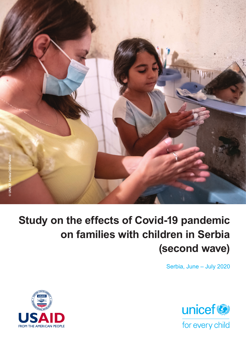

# **Study on the effects of Covid-19 pandemic on families with children in Serbia (second wave)**

Serbia, June – July 2020



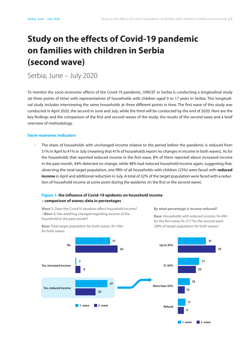# **Study on the effects of Covid-19 pandemic on families with children in Serbia (second wave)**

Serbia, June – July 2020

To monitor the socio-economic effects of the Covid-19 pandemic, UNICEF in Serbia is conducting a longitudinal study (at three points of time) with representatives of households with children aged 0 to 17 years in Serbia. This longitudinal study includes interviewing the same households at three different points in time. The first wave of this study was conducted in April 2020, the second in June and July, while the third will be conducted by the end of 2020. Here are the key findings and the comparison of the first and second waves of the study, the results of the second wave and a brief overview of methodology.

# **Socio-economic indicators**

The share of households with unchanged income relative to the period before the pandemic is reduced from 51% in April to 41% in July (meaning that 41% of households report no changes in income in both waves). As for the households that reported reduced income in the first wave, 8% of them reported about increased income in the past month, 44% detected no change, while 48% had reduced household income again, suggesting that, observing the total target population, one fifth of all households with children (23%) were faced with **reduced income** in April and additional reduction in July. A total of 32% of the target population were faced with a reduction of household income at some point during the epidemic (in the first or the second wave).

# **Figure 1: the influence of Covid-19 epidemic on household income – comparison of waves; data in percentages**

**Wave 1:** Does the Covid19 situation affect household income? / **Wave 2:** Has anything changed regarding income of the household in the past month?

**By what percentage is income reduced?**

**Base:** Total target population for both waves, N=1061 for both waves

**Base:** Households with reduced income, N=494 for the first wave, N=317 for the second wave (38% of target population for both waves)

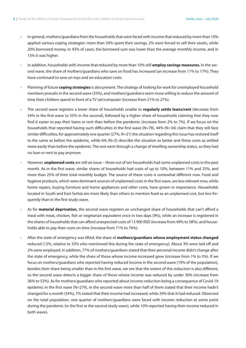- In general, mothers/guardians from the households that were faced with income that reduced by more than 10% applied various coping strategies: more than 50% spent their savings, 2% were forced to sell their assets, while 20% borrowed money. In 43% of cases, the borrowed sum was lower than the average monthly income, and in 13% it was higher.
- In addition, households with income that reduced by more than 10% still **employ savings measures.** In the second wave, the share of mothers/guardians who save on food has increased (an increase from 11% to 17%). They have continued to save on toys and on education costs.
- Planning of future **coping strategies** is also present. The strategy of looking for work for unemployed household members prevails in the second wave (35%), and mothers/guardians seem more willing to reduce the amount of time their children spend in front of a TV set/computer (increase from 21% to 27%).
- The second wave registers a lower share of households unable to **regularly settle loans/rent** (decrease from 54% in the first wave to 35% in the second), followed by a higher share of households claiming that they now find it easier to pay their loans or rent than before the pandemic (increase from 2% to 7%). If we focus on the households that reported having such difficulties in the first wave (N=78), 44% (N=34) claim that they still face similar difficulties, for approximately one quarter (27%, N=21) the situation regarding this issue has restored itself to the same as before the epidemic, while 6% (N=5) describe the situation as better and these costs as settled more easily than before the epidemic. The rest went through a change of dwelling ownership status, so they had no loan or rent to pay anymore.
- However, **unplanned costs** are still an issue three out of ten households had some unplanned costs in the past month. As in the first wave, similar shares of households had costs of up to 10%, between 11% and 25%, and more than 25% of their total monthly budget. The source of these costs is somewhat different now. Food and hygiene products, which were dominant sources of unplanned costs in the first wave, are less relevant now, while home repairs, buying furniture and home appliances and other costs, have grown in importance. Households located in South and East Serbia are more likely than others to mention food as an unplanned cost, but less frequently than in the first study wave.
- As for **material deprivation**, the second wave registers an unchanged share of households that can't afford a meal with meat, chicken, fish or vegetarian equivalent once in two days (9%), while an increase is registered in the shares of households that can afford unexpected costs of 13 900 RSD (increase from 49% to 58%), and households able to pay their costs on time (increase from 71% to 76%).
- After the state of emergency was lifted, the share of **mothers/guardians whose employment status changed**  reduced (12%, relative to 33% who mentioned this during the state of emergency). About 3% were laid off and 2% were employed. In addition, 77% of mothers/guardians stated that their personal income didn't change after the state of emergency, while the share of those whose income increased grew (increase from 1% to 5%). If we focus on mothers/guardians who reported having reduced income in the second wave (19% of the population), besides their share being smaller than in the first wave, we see that the extent of this reduction is also different, so the second wave detects a bigger share of those whose income was reduced by under 30% (increase from 36% to 53%). As for mothers/guardians who reported about income reduction being a consequence of Covid-19 epidemic in the first wave (N=279), in the second wave more than half of them stated that their income hadn't changed for a month (54%), 7% stated that their income had increased, while 39% that it had reduced. Observed on the total population, one quarter of mothers/guardians were faced with income reduction at some point during the pandemic (in the first or the second study wave), while 10% reported having their income reduced in both waves.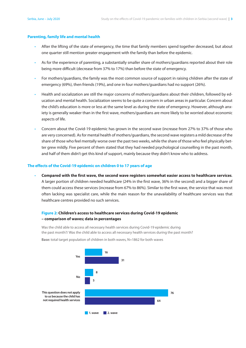#### **Parenting, family life and mental health**

- After the lifting of the state of emergency, the time that family members spend together decreased, but about one quarter still mention greater engagement with the family than before the epidemic.
- As for the experience of parenting, a substantially smaller share of mothers/guardians reported about their role being more difficult (decrease from 37% to 17%) than before the state of emergency.
- For mothers/guardians, the family was the most common source of support in raising children after the state of emergency (69%), then friends (19%), and one in four mothers/guardians had no support (26%).
- Health and socialization are still the major concerns of mothers/guardians about their children, followed by education and mental health. Socialization seems to be quite a concern in urban areas in particular. Concern about the child's education is more or less at the same level as during the state of emergency. However, although anxiety is generally weaker than in the first wave, mothers/guardians are more likely to be worried about economic aspects of life.
- Concern about the Covid-19 epidemic has grown in the second wave (increase from 27% to 37% of those who are very concerned). As for mental health of mothers/guardians, the second wave registers a mild decrease of the share of those who feel mentally worse over the past two weeks, while the share of those who feel physically better grew mildly. Five percent of them stated that they had needed psychological counselling in the past month, and half of them didn't get this kind of support, mainly because they didn't know who to address. **51 No. 30% No. 30% 10% 10% 10% 10% 10% 10% 10% 10%**

# **The effects of the Covid-19 epidemic on children 0 to 17 years of age**

• **Compared with the first wave, the second wave registers somewhat easier access to healthcare services**. **2** A larger portion of children needed healthcare (24% in the first wave, 36% in the second) and a bigger share of **8 26** them could access these services (increase from 67% to 86%). Similar to the first wave, the service that was most often lacking was specialist care, while the main reason for the unavailability of healthcare services was that **47 18** healthcare centres provided no such services. **30 Yes, increased income Reduced Figures 31 31-50% More than 50%**

# **Figure 2: Children's access to healthcare services during Covid-19 epidemic – comparison of waves; data in percentages 1. wave 2. wave**

Was the child able to access all necessary health services during Covid-19 epidemic during the past month?/ Was the child able to access all necessary health services during the past month? **1. wave 2. wave**



**Base:** total target population of children in both waves, N=1862 for both waves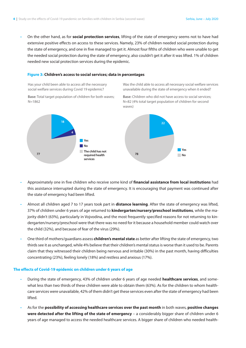• On the other hand, as for **social protection services**, lifting of the state of emergency seems not to have had **Yes** extensive positive effects on access to these services. Namely, 23% of children needed social protection during **31** the state of emergency, and one in five managed to get it. Almost four fifths of children who were unable to get the needed social protection during the state of emergency, also couldn't get it after it was lifted. 1% of children **8** needed new social protection services during the epidemic. **5 No**

#### **Figure 3: Children's access to social services; data in percentages to us because the child has**

Has your child been able to access all the necessary social welfare services during Covid 19 epidemic?

Was the child able to access all necessary social welfare services unavailable during the state of emergency when it ended?

**Base:** Total target population of children for both waves; N=1862



- Approximately one in five children who receive some kind of **financial assistance from local institutions** had this assistance interrupted during the state of emergency. It is encouraging that payment was continued after the state of emergency had been lifted.
- Almost all children aged 7 to 17 years took part in **distance learning**. After the state of emergency was lifted, 37% of children under 6 years of age returned to **kindergarten/nursery/preschool institutions**, while the majority didn't (63%), particularly in Vojvodina, and the most frequently specified reasons for not returning to kindergarten/nursery/preschool were that there was no need for it because a household member could watch over the child (32%), and because of fear of the virus (29%).
- One third of mothers/guardians assess **children's mental state** as better after lifting the state of emergency, two thirds see it as unchanged, while 4% believe that their children's mental status is worse than it used to be. Parents claim that they witnessed their children being nervous and irritable (30%) in the past month, having difficulties concentrating (23%), feeling lonely (18%) and restless and anxious (17%).

# **The effects of Covid-19 epidemic on children under 6 years of age**

- During the state of emergency, 43% of children under 6 years of age needed **healthcare services**, and somewhat less than two thirds of these children were able to obtain them (63%). As for the children to whom healthcare services were unavailable, 42% of them didn't get these services even after the state of emergency had been lifted.
- As for the **possibility of accessing healthcare services over the past month** in both waves, **positive changes were detected after the lifting of the state of emergency** – a considerably bigger share of children under 6 years of age managed to access the needed healthcare services. A bigger share of children who needed health-

**Base:** Children who did not have access to social services; N=82 (4% total target population of children for second waves)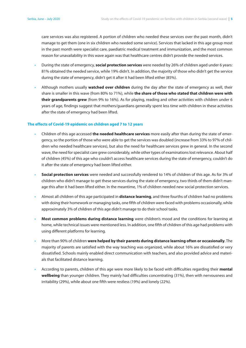care services was also registered. A portion of children who needed these services over the past month, didn't manage to get them (one in six children who needed some service). Services that lacked in this age group most in the past month were specialist care, paediatric medical treatment and immunization, and the most common reason for unavailability in this wave again was that healthcare centres didn't provide the needed services.

- During the state of emergency, **social protection services** were needed by 26% of children aged under 6 years: 81% obtained the needed service, while 19% didn't. In addition, the majority of those who didn't get the service during the state of emergency, didn't get it after it had been lifted either (85%).
- Although mothers usually **watched over children** during the day after the state of emergency as well, their share is smaller in this wave (from 80% to 71%), while **the share of those who stated that children were with their grandparents grew** (from 9% to 16%). As for playing, reading and other activities with children under 6 years of age, findings suggest that mothers/guardians generally spent less time with children in these activities after the state of emergency had been lifted.

# **The effects of Covid-19 epidemic on children aged 7 to 12 years**

- Children of this age accessed **the needed healthcare services** more easily after than during the state of emergency, so the portion of those who were able to get the services was doubled (increase from 33% to 97% of children who needed healthcare services), but also the need for healthcare services grew in general. In the second wave, the need for specialist care grew considerably, while other types of examinations lost relevance. About half of children (45%) of this age who couldn't access healthcare services during the state of emergency, couldn't do it after the state of emergency had been lifted either.
- **Social protection services** were needed and successfully rendered to 14% of children of this age. As for 3% of children who didn't manage to get these services during the state of emergency, two thirds of them didn't manage this after it had been lifted either. In the meantime, 1% of children needed new social protection services.
- Almost all children of this age participated in **distance learning**, and three fourths of children had no problems with doing their homework or managing tasks, one fifth of children were faced with problems occasionally, while approximately 3% of children of this age didn't manage to do their school tasks.
- **Most common problems during distance learning** were children's mood and the conditions for learning at home, while technical issues were mentioned less. In addition, one fifth of children of this age had problems with using different platforms for learning.
- More than 90% of children **were helped by their parents during distance learning often or occasionally**. The majority of parents are satisfied with the way teaching was organized, while about 16% are dissatisfied or very dissatisfied. Schools mainly enabled direct communication with teachers, and also provided advice and materials that facilitated distance learning.
- According to parents, children of this age were more likely to be faced with difficulties regarding their **mental wellbeing** than younger children. They mainly had difficulties concentrating (31%), then with nervousness and irritability (29%), while about one fifth were restless (19%) and lonely (22%).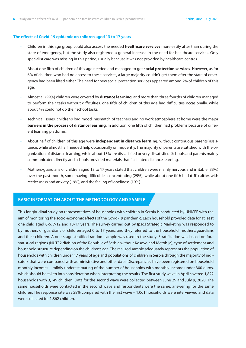#### **The effects of Covid-19 epidemic on children aged 13 to 17 years**

- Children in this age group could also access the needed **healthcare services** more easily after than during the state of emergency, but the study also registered a general increase in the need for healthcare services. Only specialist care was missing in this period, usually because it was not provided by healthcare centres.
- About one fifth of children of this age needed and managed to get **social protection services**. However, as for 6% of children who had no access to these services, a large majority couldn't get them after the state of emergency had been lifted either. The need for new social protection services appeared among 2% of children of this age.
- Almost all (99%) children were covered by **distance learning**, and more than three fourths of children managed to perform their tasks without difficulties, one fifth of children of this age had difficulties occasionally, while about 4% could not do their school tasks.
- Technical issues, children's bad mood, mismatch of teachers and no work atmosphere at home were the major **barriers in the process of distance learning**. In addition, one fifth of children had problems because of different learning platforms.
- About half of children of this age were **independent in distance learning**, without continuous parents' assistance, while almost half needed help occasionally or frequently. The majority of parents are satisfied with the organization of distance learning, while about 13% are dissatisfied or very dissatisfied. Schools and parents mainly communicated directly and schools provided materials that facilitated distance learning.
- Mothers/guardians of children aged 13 to 17 years stated that children were mainly nervous and irritable (33%) over the past month, some having difficulties concentrating (25%), while about one fifth had **difficulties** with restlessness and anxiety (19%), and the feeling of loneliness (19%).

# **BASIC INFORMATION ABOUT THE METHODOLOGY AND SAMPLE**

This longitudinal study on representatives of households with children in Serbia is conducted by UNICEF with the aim of monitoring the socio-economic effects of the Covid-19 pandemic. Each household provided data for at least one child aged 0-6, 7-12 and 13-17 years. The survey carried out by Ipsos Strategic Marketing was responded to by mothers or guardians of children aged 0 to 17 years, and they referred to the household, mothers/guardians and their children. A one-stage stratified random sample was used in the study. Stratification was based on four statistical regions (NUTS2 division of the Republic of Serbia without Kosovo and Metohija), type of settlement and household structure depending on the children's age. The realized sample adequately represents the population of households with children under 17 years of age and populations of children in Serbia through the majority of indicators that were compared with administrative and other data. Discrepancies have been registered on household monthly incomes – mildly underestimating of the number of households with monthly income under 300 euros, which should be taken into consideration when interpreting the results. The first study wave in April covered 1,822 households with 3,149 children. Data for the second wave were collected between June 29 and July 9, 2020. The same households were contacted in the second wave and respondents were the same, answering for the same children. The response rate was 58% compared with the first wave – 1,061 households were interviewed and data were collected for 1,862 children.